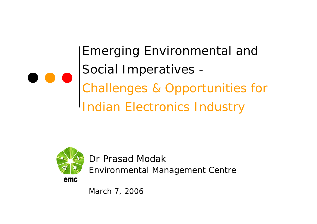Emerging Environmental and Social Imperatives - *Challenges & Opportunities for Indian Electronics Industry*



Dr Prasad Modak

*Environmental Management Centre*

emc

*March 7, 2006*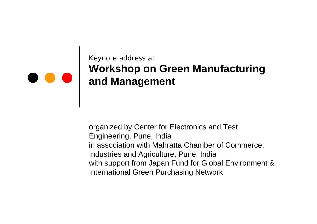#### Keynote address at **Workshop on Green Manufacturing and Management**

organized by Center for Electronics and Test Engineering, Pune, India in association with Mahratta Chamber of Commerce, Industries and Agriculture, Pune, India with support from Japan Fund for Global Environment & International Green Purchasing Network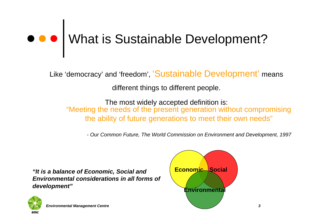# What is Sustainable Development?

Like 'democracy' and 'freedom', 'Sustainable Development' means

different things to different people.

The most widely accepted definition is: "Meeting the needs of the present generation without compromising the ability of future generations to meet their own needs"

*- Our Common Future, The World Commission on Environment and Development, 1997*

*"It is a balance of Economic, Social and Environmental considerations in all forms of development"*



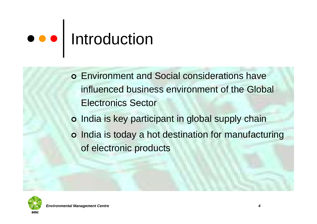# $\bullet \bullet$  | Introduction

- | Environment and Social considerations have influenced business environment of the Global Electronics Sector
- o India is key participant in global supply chain
- o [India is today a hot destination for manufactur](http://images.google.co.in/imgres?imgurl=http://www.btinternet.com/~fireballxl5/transtech/electronics/pics/techpcb0916.jpg&imgrefurl=http://www.btinternet.com/~fireballxl5/transtech/electronics/&h=1200&w=1600&sz=675&tbnid=23Q3NcQHa0VAAM:&tbnh=112&tbnw=150&hl=en&start=1&prev=/images%3Fq%3Delectronics%26svnum%3D10%26hl%3Den%26lr%3D)ing of electronic products

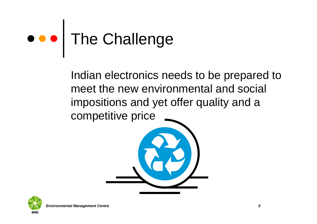# ● ● The Challenge

Indian electronics needs to be prepared to meet the new environmental and social impositions and yet offer quality and a competitive price



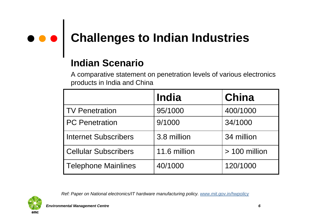# **Challenges to Indian Industries**

#### **Indian Scenario**

A comparative statement on penetration levels of various electronics products in India and China

|                             | India        | China           |
|-----------------------------|--------------|-----------------|
| <b>TV Penetration</b>       | 95/1000      | 400/1000        |
| <b>PC</b> Penetration       | 9/1000       | 34/1000         |
| <b>Internet Subscribers</b> | 3.8 million  | 34 million      |
| <b>Cellular Subscribers</b> | 11.6 million | $> 100$ million |
| <b>Telephone Mainlines</b>  | 40/1000      | 120/1000        |



*Ref: Paper on National electronics/IT hardware manufacturing policy. [www.mit.gov.in/hwpolicy](http://www.mit.gov.in/hwpolicy)*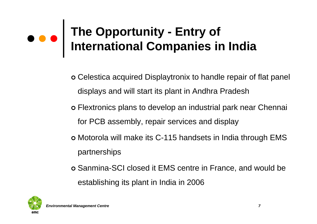### **The Opportunity - Entry of International Companies in India**

- | Celestica acquired Displaytronix to handle repair of flat panel displays and will start its plant in Andhra Pradesh
- | Flextronics plans to develop an industrial park near Chennai for PCB assembly, repair services and display
- | Motorola will make its C-115 handsets in India through EMS partnerships
- | Sanmina-SCI closed it EMS centre in France, and would be establishing its plant in India in 2006

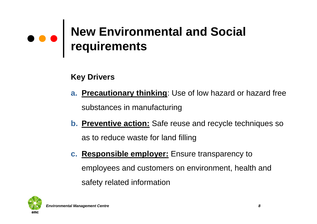### **New Environmental and Social requirements**

#### **Key Drivers**

- **a. Precautionary thinking**: Use of low hazard or hazard free substances in manufacturing
- **b. Preventive action:** Safe reuse and recycle techniques so as to reduce waste for land filling
- **c. Responsible employer:** Ensure transparency to employees and customers on environment, health and safety related information

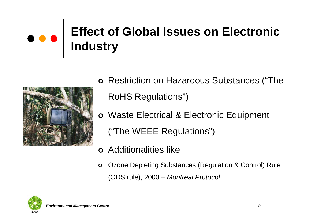### **Effect of Global Issues on Electronic Industry**



- o Restriction on Hazardous Substances ("The RoHS Regulations")
- o Waste Electrical & Electronic Equipment ("The WEEE Regulations")
- **o** Additionalities like
- $\circ$  Ozone Depleting Substances (Regulation & Control) Rule (ODS rule), 2000 – *Montreal Protocol*

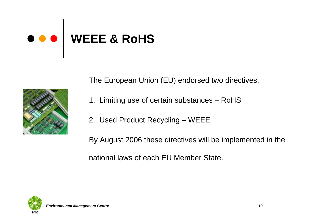### **WEEE & RoHS**

The European Union (EU) endorsed two directives,

- 1. Limiting use of certain substances RoHS
- 2. Used Product Recycling WEEE

By August 2006 these directives will be implemented in the national laws of each EU Member State.

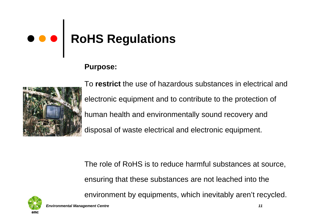# **RoHS Regulations**

#### **Purpose:**



To **restrict** the use of hazardous substances in electrical and electronic equipment and to contribute to the protection of human health and environmentally sound recovery and disposal of waste electrical and electronic equipment.

The role of RoHS is to reduce harmful substances at source, ensuring that these substances are not leached into the environment by equipments, which inevitably aren't recycled.

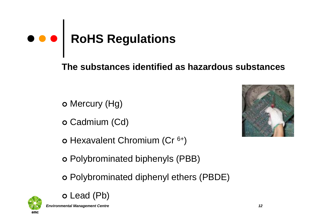# **e e e** RoHS Regulations

**The substances identified as hazardous substances**

- **o** Mercury (Hg)
- **o** Cadmium (Cd)
- o Hexavalent Chromium (Cr <sup>6+</sup>)
- | Polybrominated biphenyls (PBB)
- | Polybrominated diphenyl ethers (PBDE)



**o** Lead (Pb)

*Environmental Management Centre 12*

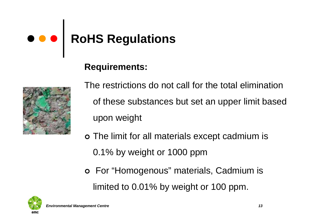## **RoHS Regulations**

#### **Requirements:**



- The restrictions do not call for the total elimination of these substances but set an upper limit based upon weight
- o The limit for all materials except cadmium is 0.1% by weight or 1000 ppm
- o For "Homogenous" materials, Cadmium is limited to 0.01% by weight or 100 ppm.

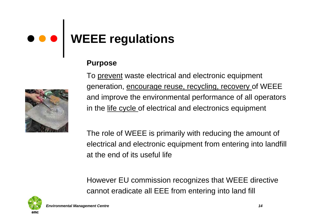### **WEEE regulations**

#### **Purpose**

To prevent waste electrical and electronic equipment generation, encourage reuse, recycling, recovery of WEEE and improve the environmental performance of all operators in the life cycle of electrical and electronics equipment

The role of WEEE is primarily with reducing the amount of electrical and electronic equipment from entering into landfill at the end of its useful life

However EU commission recognizes that WEEE directive cannot eradicate all EEE from entering into land fill

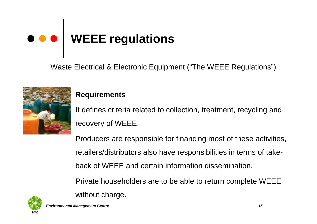# **WEEE regulations**

Waste Electrical & Electronic Equipment ("The WEEE Regulations")



#### **Requirements**

without charge.

It defines criteria related to collection, treatment, recycling and recovery of WEEE.

Producers are responsible for financing most of these activities, retailers/distributors also have responsibilities in terms of takeback of WEEE and certain information dissemination. Private householders are to be able to return complete WEEE



*Environmental Management Centre 15*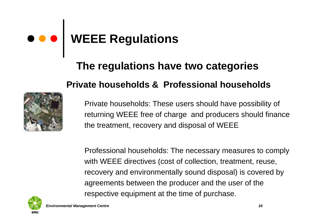#### **WEEE Regulations**  $\bullet\bullet\bullet$

### **The regulations have two categories Private households & Professional households**



Private households: These users should have possibility of returning WEEE free of charge and producers should finance the treatment, recovery and disposal of WEEE

Professional households: The necessary measures to comply with WEEE directives (cost of collection, treatment, reuse, recovery and environmentally sound disposal) is covered by agreements between the producer and the user of the respective equipment at the time of purchase.

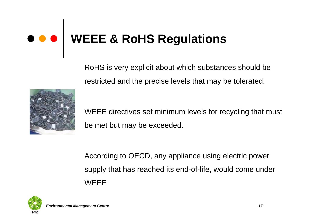## **WEEE & RoHS Regulations**

RoHS is very explicit about which substances should be restricted and the precise levels that may be tolerated.



WEEE directives set minimum levels for recycling that must be met but may be exceeded.

According to OECD, any appliance using electric power supply that has reached its end-of-life, would come under **WEEE** 

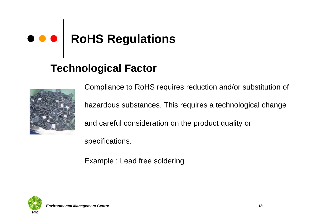# **RoHS Regulations**

#### **Technological Factor**



Compliance to RoHS requires reduction and/or substitution of hazardous substances. This requires a technological change and careful consideration on the product quality or

specifications.

Example : Lead free soldering

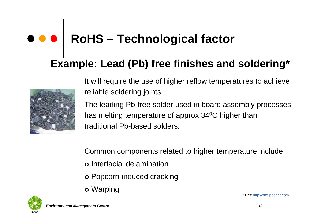### **RoHS – Technological factor**

#### **Example: Lead (Pb) free finishes and soldering\***



It will require the use of higher reflow temperatures to achieve reliable soldering joints.

The leading Pb-free solder used in board assembly processes has melting temperature of approx 34<sup>o</sup>C higher than traditional Pb-based solders.

Common components related to higher temperature include o Interfacial delamination

- o Popcorn-induced cracking
- **o** Warping



*Environmental Management Centre 19*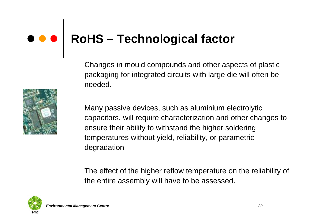## **RoHS – Technological factor**

Changes in mould compounds and other aspects of plastic packaging for integrated circuits with large die will often be needed.

Many passive devices, such as aluminium electrolytic capacitors, will require characterization and other changes to ensure their ability to withstand the higher soldering temperatures without yield, reliability, or parametric degradation

The effect of the higher reflow temperature on the reliability of the entire assembly will have to be assessed.

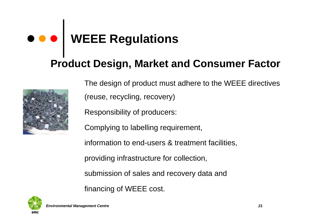### **WEEE Regulations**

#### **Product Design, Market and Consumer Factor**



The design of product must adhere to the WEEE directives (reuse, recycling, recovery)

Responsibility of producers:

Complying to labelling requirement,

information to end-users & treatment facilities,

providing infrastructure for collection,

submission of sales and recovery data and

financing of WEEE cost.

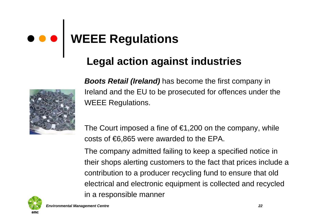### **WEEE Regulations**

#### **Legal action against industries**



*Boots Retail (Ireland)* has become the first company in Ireland and the EU to be prosecuted for offences under the WEEE Regulations.

The Court imposed a fine of  $\epsilon$ 1,200 on the company, while costs of €6,865 were awarded to the EPA.

The company admitted failing to keep a specified notice in their shops alerting customers to the fact that prices include a contribution to a producer recycling fund to ensure that old electrical and electronic equipment is collected and recycled in a responsible manner

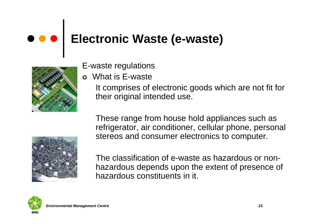#### $\bullet\bullet\bullet$ **Electronic Waste (e-waste)**



- E-waste regulations
- **o** What is E-waste

It comprises of electronic goods which are not fit for their original intended use.

These range from house hold appliances such as refrigerator, air conditioner, cellular phone, personal stereos and consumer electronics to computer.

The classification of e-waste as hazardous or nonhazardous depends upon the extent of presence of hazardous constituents in it.

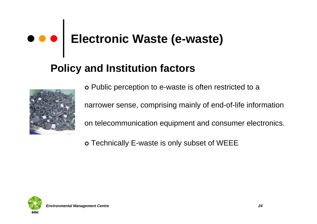# **Electronic Waste (e-waste)**

#### **Policy and Institution factors**



o Public perception to e-waste is often restricted to a narrower sense, comprising mainly of end-of-life information on telecommunication equipment and consumer electronics.

o Technically E-waste is only subset of WEEE

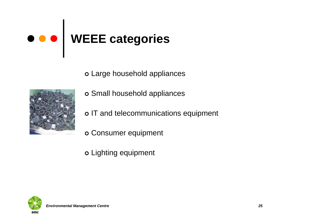# **WEEE categories**

**o** Large household appliances



- o Small household appliances
- o IT and telecommunications equipment
- o Consumer equipment

**o** Lighting equipment

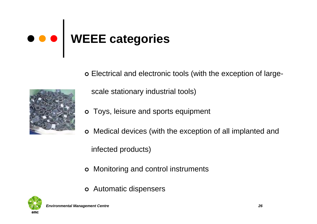# **WEEE categories**

| Electrical and electronic tools (with the exception of large-



scale stationary industrial tools)

- **o** Toys, leisure and sports equipment
- | Medical devices (with the exception of all implanted and infected products)
- o Monitoring and control instruments
- **o** Automatic dispensers

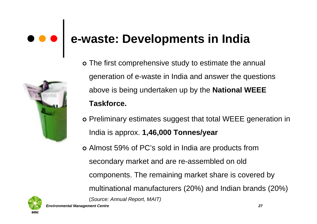### **e-waste: Developments in India**



- o The first comprehensive study to estimate the annual [generation of e-waste in India and answer the question](http://images.google.co.in/imgres?imgurl=http://www.redeemplc.com/images/pageimages/csr_waste.jpg&imgrefurl=http://www.redeemplc.com/csr/wastehierarchy.asp&h=290&w=202&sz=17&tbnid=oY80kCNsKnifCM:&tbnh=110&tbnw=76&hl=en&start=17&prev=/images%3Fq%3Delectronic%2Bwaste%26svnum%3D10%26hl%3Den%26lr%3D)s above is being undertaken up by the **National WEEE Taskforce.**
- o Preliminary estimates suggest that total WEEE generation in India is approx. **1,46,000 Tonnes/year**
- | Almost 59% of PC's sold in India are products from secondary market and are re-assembled on old components. The remaining market share is covered by multinational manufacturers (20%) and Indian brands (20%) (*Source: Annual Report, MAIT)*

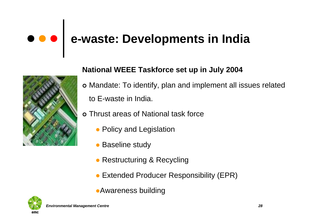### **e-waste: Developments in India**



#### **National WEEE Taskforce set up in July 2004**

- | Mandate: To identify, plan and implement all issues related to E-waste in India.
- o Thrust areas of National task force
	- Policy and Legislation
	- $\bullet$ Baseline study
	- Restructuring & Recycling
	- **Extended Producer Responsibility (EPR)**
	- **•Awareness building**

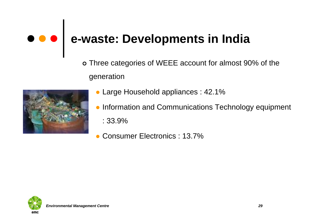### **e-waste: Developments in India**

o [Three categories of WEEE account for almost 90% of t](http://images.google.co.in/imgres?imgurl=http://wrrc.p2pays.org/images/electronics.jpg&imgrefurl=http://wrrc.p2pays.org/industry/electronics.htm&h=240&w=360&sz=33&tbnid=kM8qhX3AlidSrM:&tbnh=78&tbnw=117&hl=en&start=4&prev=/images%3Fq%3Delectronics%26svnum%3D10%26hl%3Den%26lr%3D)he generation



- $\bullet$ Large Household appliances : 42.1%
- $\bullet$  Information and Communications Technology equipment : 33.9%
- $\bullet$ Consumer Electronics : 13.7%

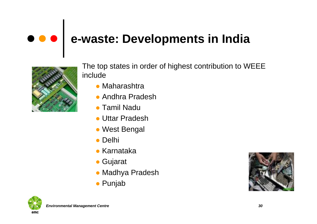#### $\bullet\bullet\bullet$ **e-waste: Developments in India**



The top states in order of highest contribution to WEEE include

- Maharashtra
- Andhra Pradesh
- Tamil Nadu
- Uttar Pradesh
- West Bengal
- Delhi
- **Karnataka**
- **Gujarat**
- Madhya Pradesh
- **•** Punjab



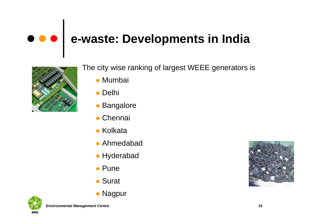#### $\bullet\bullet\bullet$ **e-waste: Developments in India**



The city wise ranking of largest WEEE generators is

- Mumbai
- Delhi
- Bangalore
- **Chennai**
- Kolkata
- **Ahmedabad**
- Hyderabad
- Pune
- Surat
- Nagpur



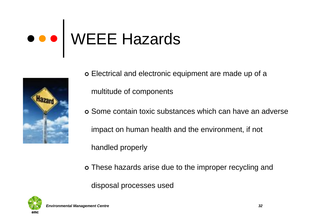

- | Electrical and electronic equipment are made up of a multitude of components
- | Some contain toxic substances which can have an adverse impact on human health and the environment, if not handled properly
- o [These hazards arise due to the improper recycling and](http://images.google.co.in/imgres?imgurl=http://www.healthandsafetyreport.com/Images/all-hazard.jpg&imgrefurl=http://www.eskimo.com/~recall/bleed/0817.htm&h=361&w=252&sz=10&tbnid=lQ1rJkZutMAPhM:&tbnh=117&tbnw=81&hl=en&start=5&prev=/images%3Fq%3Dhazard%26svnum%3D10%26hl%3Den%26lr%3D)
	- disposal processes used

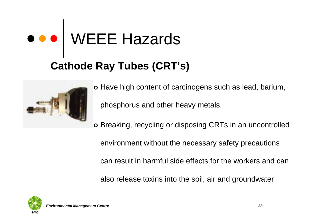### **Cathode Ray Tubes (CRT's)**



o Have high content of carcinogens such as lead, barium, phosphorus and other heavy metals.

o [Breaking, recycling or disposing CRTs in an uncont](http://images.google.co.in/imgres?imgurl=http://images.encarta.msn.com/xrefmedia/sharemed/targets/images/pho/t025/T025177A.jpg&imgrefurl=http://encarta.msn.com/media_461518401_761559903_-1_1/Trinitron_Cathode_Ray_Tube.html&h=340&w=491&sz=14&tbnid=QbevmBKXMTvOgM:&tbnh=87&tbnw=127&hl=en&start=2&prev=/images%3Fq%3Dcathode%2Bray%2Btubes%26svnum%3D10%26hl%3Den%26lr%3D)rolled

environment without the necessary safety precautions

can result in harmful side effects for the workers and can

also release toxins into the soil, air and groundwater

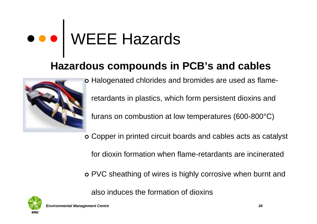#### **[Hazardous compounds in PCB's and cables](http://images.google.co.in/imgres?imgurl=http://www.katli.com/PS%2520Audio%2520Extreme%2520Spkr%2520cables%25202.jpg&imgrefurl=http://www.katli.com/cables.htm&h=279&w=324&sz=16&tbnid=_W5CALbwMFY6yM:&tbnh=98&tbnw=114&hl=en&start=18&prev=/images%3Fq%3Dcables%26svnum%3D10%26hl%3Den%26lr%3D)**



| Halogenated chlorides and bromides are used as flameretardants in plastics, which form persistent dioxins and furans on combustion at low temperatures (600-800°C)

| Copper in printed circuit boards and cables acts as catalyst

for dioxin formation when flame-retardants are incinerated

o PVC sheathing of wires is highly corrosive when burnt and

also induces the formation of dioxins

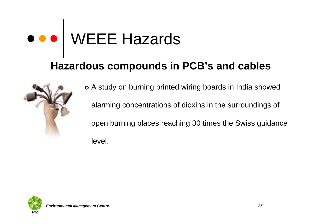#### **Hazardous compounds in PCB's and cables**



o A study on burning printed wiring boards in India showed alarming concentrations of dioxins in the surroundings of [open burning places reaching 30 times the Swiss guid](http://images.google.co.in/imgres?imgurl=http://www.brockton-electronics.com/images/broc_pic_hand-of-cables.jpg&imgrefurl=http://www.brockton-electronics.com/corporate-profile.htm&h=220&w=200&sz=11&tbnid=QvYDyoypjVJDxM:&tbnh=102&tbnw=92&hl=en&start=16&prev=/images%3Fq%3Dcables%26svnum%3D10%26hl%3Den%26lr%3D)ance level.

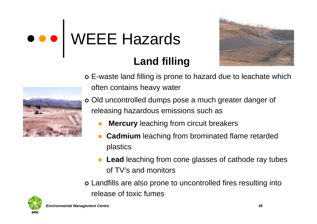



#### **Land filling**

- o E-waste land filling is prone to hazard due to leachate which often contains heavy water
- | [Old uncontrolled dumps pose a much greater danger o](http://images.google.co.in/imgres?imgurl=http://www.co.eureka.nv.us/photo/landfill.jpg&imgrefurl=http://www.co.eureka.nv.us/county/photo.htm&h=400&w=600&sz=43&tbnid=Ej8qO-_jspZmcM:&tbnh=88&tbnw=133&hl=en&start=5&prev=/images%3Fq%3Dland%2Bfill%26svnum%3D10%26hl%3Den%26lr%3D)f releasing hazardous emissions such as
	- $\bullet$ **Mercury** leaching from circuit breakers
	- $\bullet$  **Cadmium** leaching from brominated flame retarded plastics
	- Lead leaching from cone glasses of cathode ray tubes of TV's and monitors
- o Landfills are also prone to uncontrolled fires resulting into release of toxic fumes

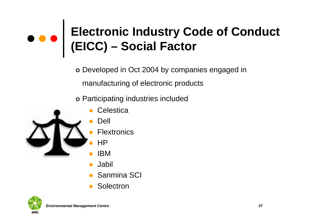o Developed in Oct 2004 by companies engaged in manufacturing of electronic products

o Participating industries included



- **Celestica**
- Dell
- **Flextronics**
- HP
- IBM
- $\bullet$ Jabil
- $\bullet$ Sanmina SCI
- $\bullet$ **Solectron**

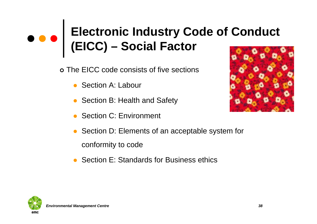- | The EICC code consists of five sections
	- Section A: Labour
	- Section B: Health and Safety
	- Section C: Environment
	- $\bullet$  Section D: Elements of an acceptable system for conformity to code
	- $\bullet$ Section E: Standards for Business ethics





*Environmental Management Centre 38*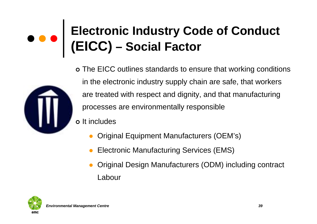

- **o** It includes
	- $\bullet$ Original Equipment Manufacturers (OEM's)
	- $\bullet$ Electronic Manufacturing Services (EMS)
	- $\bullet$  Original Design Manufacturers (ODM) including contract Labour

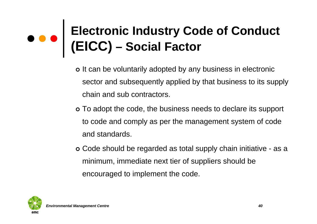- o It can be voluntarily adopted by any business in electronic sector and subsequently applied by that business to its supply chain and sub contractors.
- o To adopt the code, the business needs to declare its support to code and comply as per the management system of code and standards.
- | Code should be regarded as total supply chain initiative as a minimum, immediate next tier of suppliers should be encouraged to implement the code.

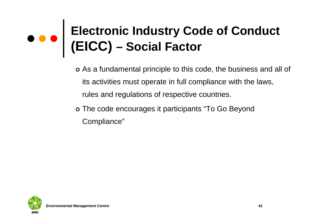- | As a fundamental principle to this code, the business and all of its activities must operate in full compliance with the laws, rules and regulations of respective countries.
- o The code encourages it participants "To Go Beyond Compliance"

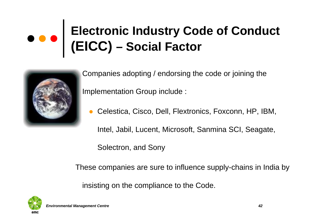

 Companies adopting / endorsing the code or joining the Implementation Group include :

 $\bullet$ Celestica, Cisco, Dell, Flextronics, Foxconn, HP, IBM,

Intel, Jabil, Lucent, Microsoft, Sanmina SCI, Seagate,

Solectron, and Sony

[These companies are sure to influence supply-chains in Ind](http://images.google.co.in/imgres?imgurl=http://a248.e.akamai.net/7/248/430/20050613174352/www.merckfrosst.ca/e/research/r_d/overview/images/global_scale_photo.jpg&imgrefurl=http://www.merckfrosst.ca/e/research/r_d/overview/global_scale.html&h=541&w=541&sz=47&tbnid=3aeBh_X2i-chMM:&tbnh=130&tbnw=130&hl=en&start=13&prev=/images%3Fq%3Dglobal%26svnum%3D10%26hl%3Den%26lr%3D)ia by

insisting on the compliance to the Code.

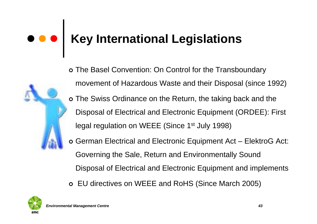### **Key International Legislations**



- | The Basel Convention: On Control for the Transboundary movement of Hazardous Waste and their Disposal (since 1992) o [The Swiss Ordinance on the Return, the taking back and th](http://images.google.co.in/imgres?imgurl=http://www.howtogermany.com/images/legal2.jpg&imgrefurl=http://www.howtogermany.com/&h=216&w=146&sz=6&tbnid=wr9f9sQF28-BgM:&tbnh=101&tbnw=68&hl=en&start=11&prev=/images%3Fq%3Dlegal%26svnum%3D10%26hl%3Den%26lr%3D)e Disposal of Electrical and Electronic Equipment (ORDEE): First legal regulation on WEEE (Since 1<sup>st</sup> July 1998)
- | German Electrical and Electronic Equipment Act ElektroG Act: Governing the Sale, Return and Environmentally Sound Disposal of Electrical and Electronic Equipment and implements
- | EU directives on WEEE and RoHS (Since March 2005)

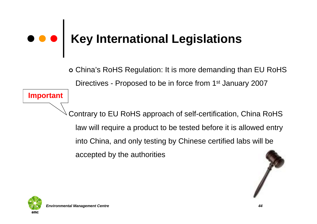### **[Key International Legislations](http://images.google.co.in/imgres?imgurl=http://www.basic-skills.org.uk/basic-skills/gfx/photos/legal.jpg&imgrefurl=http://www.basic-skills.org.uk/basic-skills/gfx/photos/&h=219&w=145&sz=4&tbnid=Z9Ub80Zt3Y3kxM:&tbnh=102&tbnw=67&hl=en&start=7&prev=/images%3Fq%3Dlegal%26svnum%3D10%26hl%3Den%26lr%3D)**

| China's RoHS Regulation: It is more demanding than EU RoHS Directives - Proposed to be in force from 1<sup>st</sup> January 2007

Contrary to EU RoHS approach of self-certification, China RoHS law will require a product to be tested before it is allowed entry into China, and only testing by Chinese certified labs will be accepted by the authorities





**Important**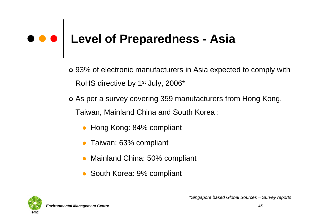# **Level of Preparedness - Asia**

- | 93% of electronic manufacturers in Asia expected to comply with RoHS directive by 1<sup>st</sup> July, 2006<sup>\*</sup>
- o As per a survey covering 359 manufacturers from Hong Kong, Taiwan, Mainland China and South Korea :
	- Hong Kong: 84% compliant
	- Taiwan: 63% compliant
	- Mainland China: 50% compliant
	- South Korea: 9% compliant

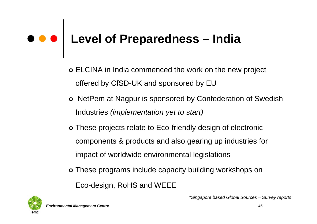# **Level of Preparedness – India**

- | ELCINA in India commenced the work on the new project offered by CfSD-UK and sponsored by EU
- o NetPem at Nagpur is sponsored by Confederation of Swedish Industries *(implementation yet to start)*
- o These projects relate to Eco-friendly design of electronic components & products and also gearing up industries for impact of worldwide environmental legislations
- o These programs include capacity building workshops on Eco-design, RoHS and WEEE



*\*Singapore based Global Sources – Survey reports*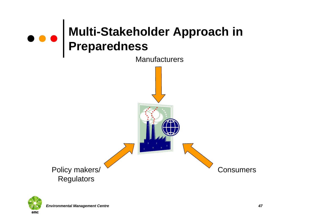

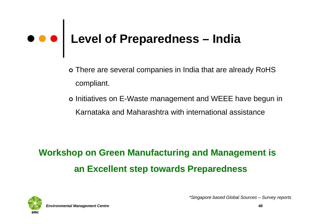# **Level of Preparedness – India**

- o There are several companies in India that are already RoHS compliant.
- o Initiatives on E-Waste management and WEEE have begun in Karnataka and Maharashtra with international assistance

### **Workshop on Green Manufacturing and Management is an Excellent step towards Preparedness**



*Environmental Management Centre 48*

*\*Singapore based Global Sources – Survey reports*